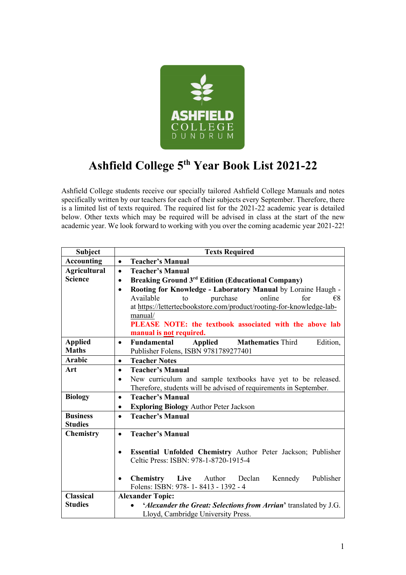

## **Ashfield College 5th Year Book List 2021-22**

Ashfield College students receive our specially tailored Ashfield College Manuals and notes specifically written by our teachers for each of their subjects every September. Therefore, there is a limited list of texts required. The required list for the 2021-22 academic year is detailed below. Other texts which may be required will be advised in class at the start of the new academic year. We look forward to working with you over the coming academic year 2021-22!

| <b>Accounting</b><br><b>Teacher's Manual</b><br>$\bullet$<br><b>Agricultural</b><br><b>Teacher's Manual</b><br>$\bullet$<br><b>Science</b><br><b>Breaking Ground 3rd Edition (Educational Company)</b><br>$\bullet$<br>Rooting for Knowledge - Laboratory Manual by Loraine Haugh -<br>$\bullet$<br>Available<br>purchase<br>online<br>for<br>$\epsilon$ 8<br>to<br>at https://lettertecbookstore.com/product/rooting-for-knowledge-lab-<br>manual/<br>PLEASE NOTE: the textbook associated with the above lab<br>manual is not required.<br><b>Applied</b><br><b>Applied Mathematics</b> Third<br>Edition,<br>Fundamental<br>$\bullet$<br><b>Maths</b><br>Publisher Folens, ISBN 9781789277401<br><b>Arabic</b><br><b>Teacher Notes</b><br>$\bullet$<br>Art<br><b>Teacher's Manual</b><br>$\bullet$<br>New curriculum and sample textbooks have yet to be released.<br>$\bullet$<br>Therefore, students will be advised of requirements in September.<br><b>Biology</b><br><b>Teacher's Manual</b><br>$\bullet$<br><b>Exploring Biology Author Peter Jackson</b><br>$\bullet$<br><b>Business</b><br><b>Teacher's Manual</b><br>$\bullet$<br><b>Studies</b><br>Chemistry<br><b>Teacher's Manual</b><br>$\bullet$ | <b>Subject</b> | <b>Texts Required</b> |
|------------------------------------------------------------------------------------------------------------------------------------------------------------------------------------------------------------------------------------------------------------------------------------------------------------------------------------------------------------------------------------------------------------------------------------------------------------------------------------------------------------------------------------------------------------------------------------------------------------------------------------------------------------------------------------------------------------------------------------------------------------------------------------------------------------------------------------------------------------------------------------------------------------------------------------------------------------------------------------------------------------------------------------------------------------------------------------------------------------------------------------------------------------------------------------------------------------------|----------------|-----------------------|
|                                                                                                                                                                                                                                                                                                                                                                                                                                                                                                                                                                                                                                                                                                                                                                                                                                                                                                                                                                                                                                                                                                                                                                                                                  |                |                       |
|                                                                                                                                                                                                                                                                                                                                                                                                                                                                                                                                                                                                                                                                                                                                                                                                                                                                                                                                                                                                                                                                                                                                                                                                                  |                |                       |
|                                                                                                                                                                                                                                                                                                                                                                                                                                                                                                                                                                                                                                                                                                                                                                                                                                                                                                                                                                                                                                                                                                                                                                                                                  |                |                       |
|                                                                                                                                                                                                                                                                                                                                                                                                                                                                                                                                                                                                                                                                                                                                                                                                                                                                                                                                                                                                                                                                                                                                                                                                                  |                |                       |
|                                                                                                                                                                                                                                                                                                                                                                                                                                                                                                                                                                                                                                                                                                                                                                                                                                                                                                                                                                                                                                                                                                                                                                                                                  |                |                       |
|                                                                                                                                                                                                                                                                                                                                                                                                                                                                                                                                                                                                                                                                                                                                                                                                                                                                                                                                                                                                                                                                                                                                                                                                                  |                |                       |
|                                                                                                                                                                                                                                                                                                                                                                                                                                                                                                                                                                                                                                                                                                                                                                                                                                                                                                                                                                                                                                                                                                                                                                                                                  |                |                       |
|                                                                                                                                                                                                                                                                                                                                                                                                                                                                                                                                                                                                                                                                                                                                                                                                                                                                                                                                                                                                                                                                                                                                                                                                                  |                |                       |
|                                                                                                                                                                                                                                                                                                                                                                                                                                                                                                                                                                                                                                                                                                                                                                                                                                                                                                                                                                                                                                                                                                                                                                                                                  |                |                       |
|                                                                                                                                                                                                                                                                                                                                                                                                                                                                                                                                                                                                                                                                                                                                                                                                                                                                                                                                                                                                                                                                                                                                                                                                                  |                |                       |
|                                                                                                                                                                                                                                                                                                                                                                                                                                                                                                                                                                                                                                                                                                                                                                                                                                                                                                                                                                                                                                                                                                                                                                                                                  |                |                       |
|                                                                                                                                                                                                                                                                                                                                                                                                                                                                                                                                                                                                                                                                                                                                                                                                                                                                                                                                                                                                                                                                                                                                                                                                                  |                |                       |
|                                                                                                                                                                                                                                                                                                                                                                                                                                                                                                                                                                                                                                                                                                                                                                                                                                                                                                                                                                                                                                                                                                                                                                                                                  |                |                       |
|                                                                                                                                                                                                                                                                                                                                                                                                                                                                                                                                                                                                                                                                                                                                                                                                                                                                                                                                                                                                                                                                                                                                                                                                                  |                |                       |
|                                                                                                                                                                                                                                                                                                                                                                                                                                                                                                                                                                                                                                                                                                                                                                                                                                                                                                                                                                                                                                                                                                                                                                                                                  |                |                       |
|                                                                                                                                                                                                                                                                                                                                                                                                                                                                                                                                                                                                                                                                                                                                                                                                                                                                                                                                                                                                                                                                                                                                                                                                                  |                |                       |
|                                                                                                                                                                                                                                                                                                                                                                                                                                                                                                                                                                                                                                                                                                                                                                                                                                                                                                                                                                                                                                                                                                                                                                                                                  |                |                       |
|                                                                                                                                                                                                                                                                                                                                                                                                                                                                                                                                                                                                                                                                                                                                                                                                                                                                                                                                                                                                                                                                                                                                                                                                                  |                |                       |
|                                                                                                                                                                                                                                                                                                                                                                                                                                                                                                                                                                                                                                                                                                                                                                                                                                                                                                                                                                                                                                                                                                                                                                                                                  |                |                       |
|                                                                                                                                                                                                                                                                                                                                                                                                                                                                                                                                                                                                                                                                                                                                                                                                                                                                                                                                                                                                                                                                                                                                                                                                                  |                |                       |
|                                                                                                                                                                                                                                                                                                                                                                                                                                                                                                                                                                                                                                                                                                                                                                                                                                                                                                                                                                                                                                                                                                                                                                                                                  |                |                       |
| Essential Unfolded Chemistry Author Peter Jackson; Publisher<br>$\bullet$                                                                                                                                                                                                                                                                                                                                                                                                                                                                                                                                                                                                                                                                                                                                                                                                                                                                                                                                                                                                                                                                                                                                        |                |                       |
| Celtic Press: ISBN: 978-1-8720-1915-4                                                                                                                                                                                                                                                                                                                                                                                                                                                                                                                                                                                                                                                                                                                                                                                                                                                                                                                                                                                                                                                                                                                                                                            |                |                       |
|                                                                                                                                                                                                                                                                                                                                                                                                                                                                                                                                                                                                                                                                                                                                                                                                                                                                                                                                                                                                                                                                                                                                                                                                                  |                |                       |
| Live Author Declan<br>Publisher<br><b>Chemistry</b><br>Kennedy<br>$\bullet$<br>Folens: ISBN: 978-1-8413 - 1392 - 4                                                                                                                                                                                                                                                                                                                                                                                                                                                                                                                                                                                                                                                                                                                                                                                                                                                                                                                                                                                                                                                                                               |                |                       |
| <b>Classical</b><br><b>Alexander Topic:</b>                                                                                                                                                                                                                                                                                                                                                                                                                                                                                                                                                                                                                                                                                                                                                                                                                                                                                                                                                                                                                                                                                                                                                                      |                |                       |
| <b>Studies</b><br>'Alexander the Great: Selections from Arrian' translated by J.G.                                                                                                                                                                                                                                                                                                                                                                                                                                                                                                                                                                                                                                                                                                                                                                                                                                                                                                                                                                                                                                                                                                                               |                |                       |
| Lloyd, Cambridge University Press.                                                                                                                                                                                                                                                                                                                                                                                                                                                                                                                                                                                                                                                                                                                                                                                                                                                                                                                                                                                                                                                                                                                                                                               |                |                       |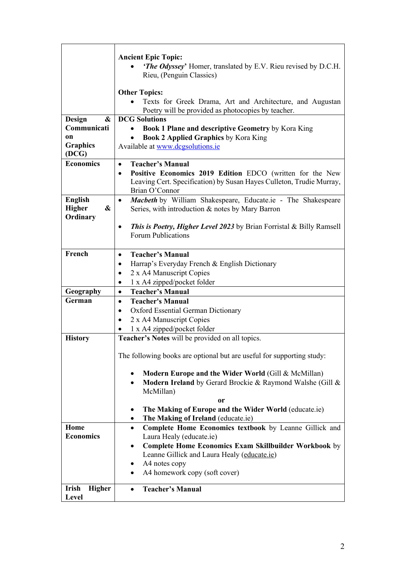|                                                           | <b>Ancient Epic Topic:</b><br><b>The Odyssey'</b> Homer, translated by E.V. Rieu revised by D.C.H.<br>Rieu, (Penguin Classics)                                   |
|-----------------------------------------------------------|------------------------------------------------------------------------------------------------------------------------------------------------------------------|
|                                                           | <b>Other Topics:</b><br>Texts for Greek Drama, Art and Architecture, and Augustan<br>Poetry will be provided as photocopies by teacher.                          |
| Design<br>$\boldsymbol{\&}$                               | <b>DCG Solutions</b>                                                                                                                                             |
| Communicati                                               | Book 1 Plane and descriptive Geometry by Kora King                                                                                                               |
| on                                                        | <b>Book 2 Applied Graphics by Kora King</b>                                                                                                                      |
| <b>Graphics</b>                                           | Available at www.dcgsolutions.ie                                                                                                                                 |
| (DCG)<br><b>Economics</b>                                 |                                                                                                                                                                  |
|                                                           | <b>Teacher's Manual</b><br>$\bullet$                                                                                                                             |
|                                                           | Positive Economics 2019 Edition EDCO (written for the New<br>$\bullet$<br>Leaving Cert. Specification) by Susan Hayes Culleton, Trudie Murray,<br>Brian O'Connor |
| <b>English</b><br>Higher<br>$\boldsymbol{\&}$<br>Ordinary | Macbeth by William Shakespeare, Educate.ie - The Shakespeare<br>$\bullet$<br>Series, with introduction & notes by Mary Barron                                    |
|                                                           | <b>This is Poetry, Higher Level 2023</b> by Brian Forristal & Billy Ramsell<br>٠<br>Forum Publications                                                           |
| French                                                    | <b>Teacher's Manual</b><br>$\bullet$                                                                                                                             |
|                                                           | Harrap's Everyday French & English Dictionary<br>٠                                                                                                               |
|                                                           | 2 x A4 Manuscript Copies<br>٠                                                                                                                                    |
|                                                           | 1 x A4 zipped/pocket folder<br>$\bullet$                                                                                                                         |
| Geography                                                 | <b>Teacher's Manual</b><br>$\bullet$                                                                                                                             |
| German                                                    | <b>Teacher's Manual</b><br>$\bullet$                                                                                                                             |
|                                                           | <b>Oxford Essential German Dictionary</b><br>$\bullet$                                                                                                           |
|                                                           | 2 x A4 Manuscript Copies<br>٠                                                                                                                                    |
| <b>History</b>                                            | 1 x A4 zipped/pocket folder<br>Teacher's Notes will be provided on all topics.                                                                                   |
|                                                           |                                                                                                                                                                  |
|                                                           | The following books are optional but are useful for supporting study:                                                                                            |
|                                                           | Modern Europe and the Wider World (Gill & McMillan)<br>Modern Ireland by Gerard Brockie & Raymond Walshe (Gill &<br>٠<br>McMillan)                               |
|                                                           | <b>or</b><br>The Making of Europe and the Wider World (educate.ie)                                                                                               |
|                                                           | The Making of Ireland (educate.ie)<br>٠                                                                                                                          |
| Home                                                      | Complete Home Economics textbook by Leanne Gillick and<br>$\bullet$                                                                                              |
| <b>Economics</b>                                          | Laura Healy (educate.ie)                                                                                                                                         |
|                                                           | <b>Complete Home Economics Exam Skillbuilder Workbook by</b><br>٠                                                                                                |
|                                                           | Leanne Gillick and Laura Healy (educate.ie)                                                                                                                      |
|                                                           | A4 notes copy                                                                                                                                                    |
|                                                           | A4 homework copy (soft cover)                                                                                                                                    |
| Irish<br><b>Higher</b>                                    | <b>Teacher's Manual</b>                                                                                                                                          |
| Level                                                     |                                                                                                                                                                  |